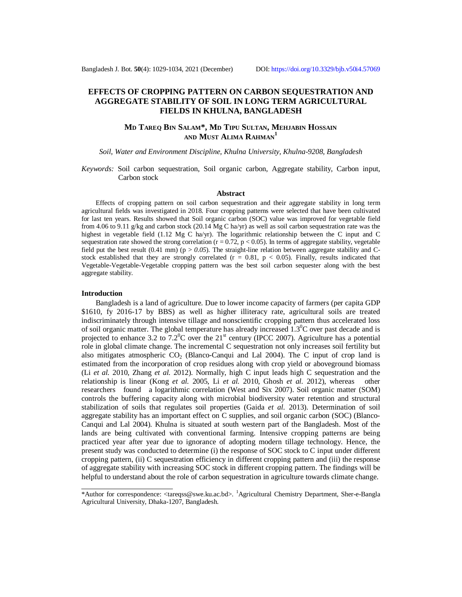# **EFFECTS OF CROPPING PATTERN ON CARBON SEQUESTRATION AND AGGREGATE STABILITY OF SOIL IN LONG TERM AGRICULTURAL FIELDS IN KHULNA, BANGLADESH**

## **MD TAREQ BIN SALAM\*, MD TIPU SULTAN, MEHJABIN HOSSAIN AND MUST ALIMA RAHMAN<sup>1</sup>**

*Soil, Water and Environment Discipline, Khulna University, Khulna-9208, Bangladesh*

*Keywords:* Soil carbon sequestration, Soil organic carbon, Aggregate stability, Carbon input, Carbon stock

#### **Abstract**

Effects of cropping pattern on soil carbon sequestration and their aggregate stability in long term agricultural fields was investigated in 2018. Four cropping patterns were selected that have been cultivated for last ten years. Results showed that Soil organic carbon (SOC) value was improved for vegetable field from 4.06 to 9.11 g/kg and carbon stock (20.14 Mg C ha/yr) as well as soil carbon sequestration rate was the highest in vegetable field (1.12 Mg C ha/yr). The logarithmic relationship between the C input and C sequestration rate showed the strong correlation ( $r = 0.72$ ,  $p < 0.05$ ). In terms of aggregate stability, vegetable field put the best result  $(0.41 \text{ mm})$  ( $p > 0.05$ ). The straight-line relation between aggregate stability and Cstock established that they are strongly correlated ( $r = 0.81$ ,  $p < 0.05$ ). Finally, results indicated that Vegetable-Vegetable-Vegetable cropping pattern was the best soil carbon sequester along with the best aggregate stability.

#### **Introduction**

Bangladesh is a land of agriculture. Due to lower income capacity of farmers (per capita GDP \$1610, fy 2016-17 by BBS) as well as higher illiteracy rate, agricultural soils are treated indiscriminately through intensive tillage and nonscientific cropping pattern thus accelerated loss of soil organic matter. The global temperature has already increased  $1.3^{\circ}$ C over past decade and is projected to enhance 3.2 to  $7.2^{\circ}$ C over the  $21^{\text{st}}$  century (IPCC 2007). Agriculture has a potential role in global climate change. The incremental C sequestration not only increases soil fertility but also mitigates atmospheric  $CO<sub>2</sub>$  (Blanco-Canqui and Lal 2004). The C input of crop land is estimated from the incorporation of crop residues along with crop yield or aboveground biomass (Li *et al.* 2010, Zhang *et al.* 2012). Normally, high C input leads high C sequestration and the relationship is linear (Kong *et al.* 2005, Li *et al.* 2010, Ghosh *et al.* 2012), whereas other researchers found a logarithmic correlation (West and Six 2007). Soil organic matter (SOM) controls the buffering capacity along with microbial biodiversity water retention and structural stabilization of soils that regulates soil properties (Gaida *et al.* 2013). Determination of soil aggregate stability has an important effect on C supplies, and soil organic carbon (SOC) (Blanco-Canqui and Lal 2004). Khulna is situated at south western part of the Bangladesh. Most of the lands are being cultivated with conventional farming. Intensive cropping patterns are being practiced year after year due to ignorance of adopting modern tillage technology. Hence, the present study was conducted to determine (i) the response of SOC stock to C input under different cropping pattern, (ii) C sequestration efficiency in different cropping pattern and (iii) the response of aggregate stability with increasing SOC stock in different cropping pattern. The findings will be helpful to understand about the role of carbon sequestration in agriculture towards climate change.

<sup>\*</sup>Author for correspondence: [<tareqss@swe.ku.ac.bd>](mailto:tareqss@swe.ku.ac.bd). <sup>1</sup>Agricultural Chemistry Department, Sher-e-Bangla Agricultural University, Dhaka-1207, Bangladesh.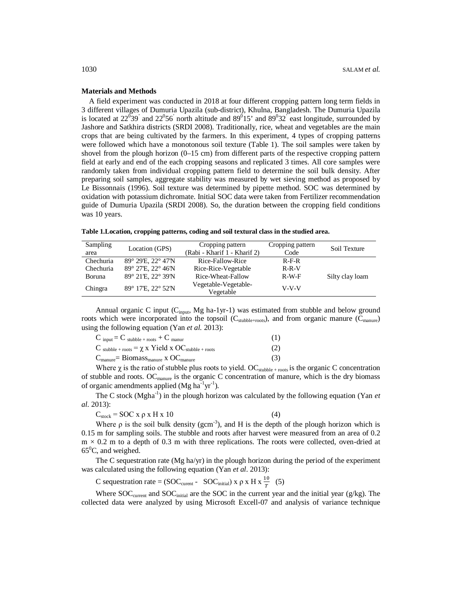#### **Materials and Methods**

A field experiment was conducted in 2018 at four different cropping pattern long term fields in 3 different villages of Dumuria Upazila (sub-district), Khulna, Bangladesh. The Dumuria Upazila is located at  $22^{\overline{0}}39'$  and  $22^{\overline{0}}56'$  north altitude and  $89^{\overline{0}}15'$  and  $89^{\overline{0}}32'$  east longitude, surrounded by Jashore and Satkhira districts (SRDI 2008). Traditionally, rice, wheat and vegetables are the main crops that are being cultivated by the farmers. In this experiment, 4 types of cropping patterns were followed which have a monotonous soil texture (Table 1). The soil samples were taken by shovel from the plough horizon (0–15 cm) from different parts of the respective cropping pattern field at early and end of the each cropping seasons and replicated 3 times. All core samples were randomly taken from individual cropping pattern field to determine the soil bulk density. After preparing soil samples, aggregate stability was measured by wet sieving method as proposed by Le Bissonnais (1996). Soil texture was determined by pipette method. SOC was determined by oxidation with potassium dichromate. Initial SOC data were taken from Fertilizer recommendation guide of Dumuria Upazila (SRDI 2008). So, the duration between the cropping field conditions was 10 years.

**Table 1.Location, cropping patterns, coding and soil textural class in the studied area.**

| Sampling<br>area | Location (GPS)                        | Cropping pattern<br>(Rabi - Kharif 1 - Kharif 2) | Cropping pattern<br>Code | Soil Texture    |
|------------------|---------------------------------------|--------------------------------------------------|--------------------------|-----------------|
| Chechuria        | $89^{\circ}$ 29'E, 22 $^{\circ}$ 47'N | Rice-Fallow-Rice                                 | $R-F-R$                  |                 |
| Chechuria        | 89° 27'E, 22° 46'N                    | Rice-Rice-Vegetable                              | $R-R-V$                  |                 |
| Boruna           | 89° 21'E, 22° 39'N                    | Rice-Wheat-Fallow                                | $R-W-F$                  | Silty clay loam |
| Chingra          | 89° 17'E, 22° 52'N                    | Vegetable-Vegetable-<br>Vegetable                | $V-V-V$                  |                 |

Annual organic C input (Cinput, Mg ha-1yr-1) was estimated from stubble and below ground roots which were incorporated into the topsoil ( $C_{\text{stable}+roots}$ ), and from organic manure ( $C_{\text{manure}}$ ) using the following equation (Yan *et al.* 2013):

| $C_{input} = C_{stable + roots} + C_{mann}$                                                                   | (1) |
|---------------------------------------------------------------------------------------------------------------|-----|
| $C_{\text{stable} + \text{roots}} = \chi \times \text{Yield} \times \text{OC}_{\text{stable} + \text{roots}}$ | (2) |
| $C_{\text{manure}} = \text{Biomass}_{\text{manure}}$ x OC <sub>manure</sub>                                   | (3) |

Where  $\chi$  is the ratio of stubble plus roots to yield. OC<sub>stubble + roots</sub> is the organic C concentration of stubble and roots. OC<sub>manure</sub> is the organic C concentration of manure, which is the dry biomass of organic amendments applied (Mg  $ha^{-1}yr^{-1}$ ).

The C stock (Mgha<sup>-1</sup>) in the plough horizon was calculated by the following equation (Yan *et al.* 2013):

$$
C_{\text{stock}} = \text{SOC} \times \rho \times H \times 10 \tag{4}
$$

Where 
$$
\rho
$$
 is the soil bulk density (gcm<sup>-3</sup>), and H is the depth of the plough horizon which is 0.15 m for sampling soils. The stable and roots after harvest were measured from an area of 0.2 m  $\times$  0.2 m to a depth of 0.3 m with three replications. The roots were collected, oven-dried at 65°C, and weighed.

The C sequestration rate (Mg ha/yr) in the plough horizon during the period of the experiment was calculated using the following equation (Yan *et al*. 2013):

C sequestration rate = (SOC<sub>current</sub> - SOC<sub>initial</sub>) x 
$$
\rho
$$
 x H x  $\frac{10}{T}$  (5)

Where  $SOC<sub>current</sub>$  and  $SOC<sub>initial</sub>$  are the SOC in the current year and the initial year ( $g/kg$ ). The collected data were analyzed by using Microsoft Excell-07 and analysis of variance technique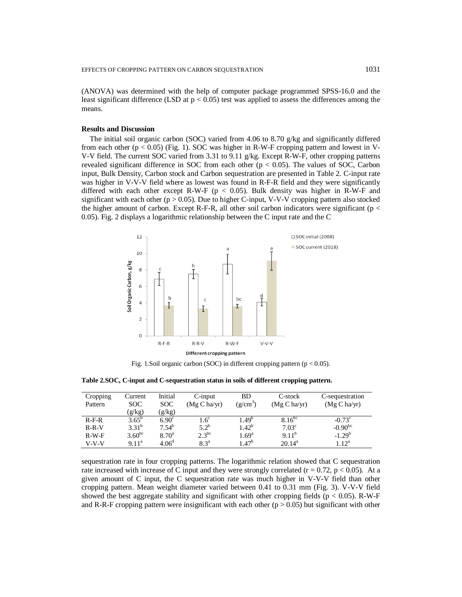(ANOVA) was determined with the help of computer package programmed SPSS-16.0 and the least significant difference (LSD at  $p < 0.05$ ) test was applied to assess the differences among the means.

### **Results and Discussion**

The initial soil organic carbon (SOC) varied from 4.06 to 8.70 g/kg and significantly differed from each other  $(p < 0.05)$  (Fig. 1). SOC was higher in R-W-F cropping pattern and lowest in V-V-V field. The current SOC varied from 3.31 to 9.11 g/kg. Except R-W-F, other cropping patterns revealed significant difference in SOC from each other ( $p < 0.05$ ). The values of SOC, Carbon input, Bulk Density, Carbon stock and Carbon sequestration are presented in Table 2. C-input rate was higher in V-V-V field where as lowest was found in R-F-R field and they were significantly differed with each other except R-W-F ( $p < 0.05$ ). Bulk density was higher in R-W-F and significant with each other ( $p > 0.05$ ). Due to higher C-input, V-V-V cropping pattern also stocked the higher amount of carbon. Except R-F-R, all other soil carbon indicators were significant ( $p <$ 0.05). Fig. 2 displays a logarithmic relationship between the C input rate and the C



Fig. 1.Soil organic carbon (SOC) in different cropping pattern ( $p < 0.05$ ).

**Table 2.SOC, C-input and C-sequestration status in soils of different cropping pattern.**

| Cropping<br>Pattern | Current<br>SOC.   | Initial<br>SOC.   | $C$ -input<br>(Mg C ha/yr) | BD.<br>$(g/cm^3)$ | C-stock<br>(Mg C ha/yr) | C-sequestration<br>(Mg C ha/yr) |
|---------------------|-------------------|-------------------|----------------------------|-------------------|-------------------------|---------------------------------|
|                     | (g/kg)            | (g/kg)            |                            |                   |                         |                                 |
| $R-F-R$             | $3.65^{\rm b}$    | $6.90^{\circ}$    | $.6^{\circ}$               | 1.49 <sup>b</sup> | $8.16^{bc}$             | $-0.73^{\circ}$                 |
| $R-R-V$             | $3.31^{b}$        | $7.54^{b}$        | $5.2^{\rm b}$              | $1.42^{b}$        | 7.03 <sup>c</sup>       | $-0.90^{bc}$                    |
| $R-W-F$             | $3.60^{bc}$       | $8.70^{\circ}$    | $2.3^{bc}$                 | $1.69^{\rm a}$    | $9.11^{b}$              | $-1.29^b$                       |
| $V-V-V$             | 9.11 <sup>a</sup> | 4.06 <sup>d</sup> | 8.3 <sup>a</sup>           | $1.47^b$          | $20.14^a$               | 1.12 <sup>a</sup>               |

sequestration rate in four cropping patterns. The logarithmic relation showed that C sequestration rate increased with increase of C input and they were strongly correlated ( $r = 0.72$ ,  $p < 0.05$ ). At a given amount of C input, the C sequestration rate was much higher in V-V-V field than other cropping pattern. Mean weight diameter varied between 0.41 to 0.31 mm (Fig. 3). V-V-V field showed the best aggregate stability and significant with other cropping fields ( $p < 0.05$ ). R-W-F and R-R-F cropping pattern were insignificant with each other ( $p > 0.05$ ) but significant with other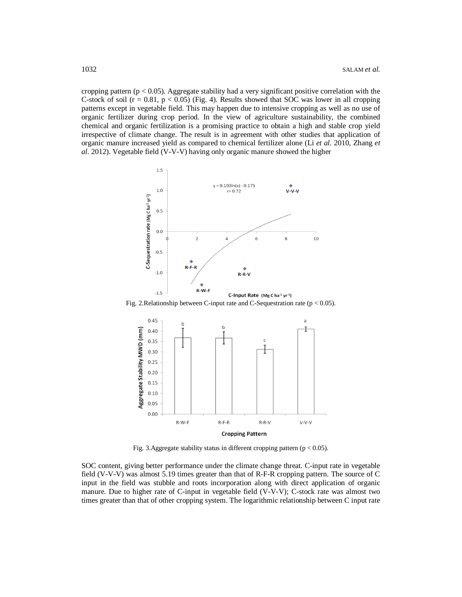cropping pattern ( $p < 0.05$ ). Aggregate stability had a very significant positive correlation with the C-stock of soil ( $r = 0.81$ ,  $p < 0.05$ ) (Fig. 4). Results showed that SOC was lower in all cropping patterns except in vegetable field. This may happen due to intensive cropping as well as no use of organic fertilizer during crop period. In the view of agriculture sustainability, the combined chemical and organic fertilization is a promising practice to obtain a high and stable crop yield irrespective of climate change. The result is in agreement with other studies that application of organic manure increased yield as compared to chemical fertilizer alone (Li *et al.* 2010, Zhang *et al.* 2012). Vegetable field (V-V-V) having only organic manure showed the higher



Fig. 2.Relationship between C-input rate and C-Sequestration rate ( $p < 0.05$ ).



Fig. 3.Aggregate stability status in different cropping pattern ( $p < 0.05$ ).

SOC content, giving better performance under the climate change threat. C-input rate in vegetable field (V-V-V) was almost 5.19 times greater than that of R-F-R cropping pattern. The source of C input in the field was stubble and roots incorporation along with direct application of organic manure. Due to higher rate of C-input in vegetable field (V-V-V); C-stock rate was almost two times greater than that of other cropping system. The logarithmic relationship between C input rate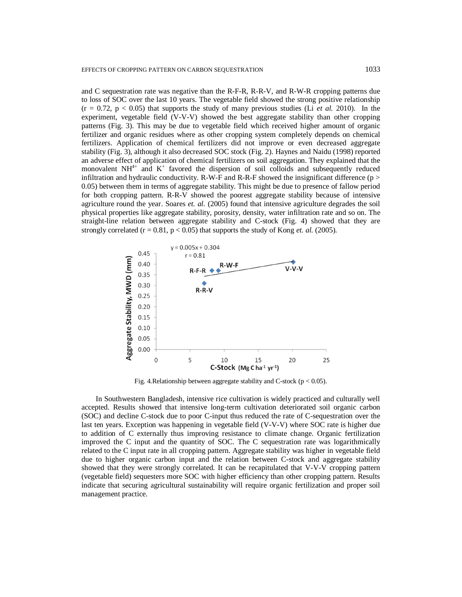and C sequestration rate was negative than the R-F-R, R-R-V, and R-W-R cropping patterns due to loss of SOC over the last 10 years. The vegetable field showed the strong positive relationship  $(r = 0.72, p < 0.05)$  that supports the study of many previous studies (Li *et al.* 2010). In the experiment, vegetable field (V-V-V) showed the best aggregate stability than other cropping patterns (Fig. 3). This may be due to vegetable field which received higher amount of organic fertilizer and organic residues where as other cropping system completely depends on chemical fertilizers. Application of chemical fertilizers did not improve or even decreased aggregate stability (Fig. 3), although it also decreased SOC stock (Fig. 2). Haynes and Naidu (1998) reported an adverse effect of application of chemical fertilizers on soil aggregation. They explained that the monovalent NH<sup>4+</sup> and  $K^+$  favored the dispersion of soil colloids and subsequently reduced infiltration and hydraulic conductivity. R-W-F and R-R-F showed the insignificant difference ( $p >$ 0.05) between them in terms of aggregate stability. This might be due to presence of fallow period for both cropping pattern. R-R-V showed the poorest aggregate stability because of intensive agriculture round the year. Soares *et. al.* (2005) found that intensive agriculture degrades the soil physical properties like aggregate stability, porosity, density, water infiltration rate and so on. The straight-line relation between aggregate stability and C-stock (Fig. 4) showed that they are strongly correlated  $(r = 0.81, p < 0.05)$  that supports the study of Kong *et. al.* (2005).



Fig. 4.Relationship between aggregate stability and C-stock ( $p < 0.05$ ).

In Southwestern Bangladesh, intensive rice cultivation is widely practiced and culturally well accepted. Results showed that intensive long-term cultivation deteriorated soil organic carbon (SOC) and decline C-stock due to poor C-input thus reduced the rate of C-sequestration over the last ten years. Exception was happening in vegetable field (V-V-V) where SOC rate is higher due to addition of C externally thus improving resistance to climate change. Organic fertilization improved the C input and the quantity of SOC. The C sequestration rate was logarithmically related to the C input rate in all cropping pattern. Aggregate stability was higher in vegetable field due to higher organic carbon input and the relation between C-stock and aggregate stability showed that they were strongly correlated. It can be recapitulated that V-V-V cropping pattern (vegetable field) sequesters more SOC with higher efficiency than other cropping pattern. Results indicate that securing agricultural sustainability will require organic fertilization and proper soil management practice.